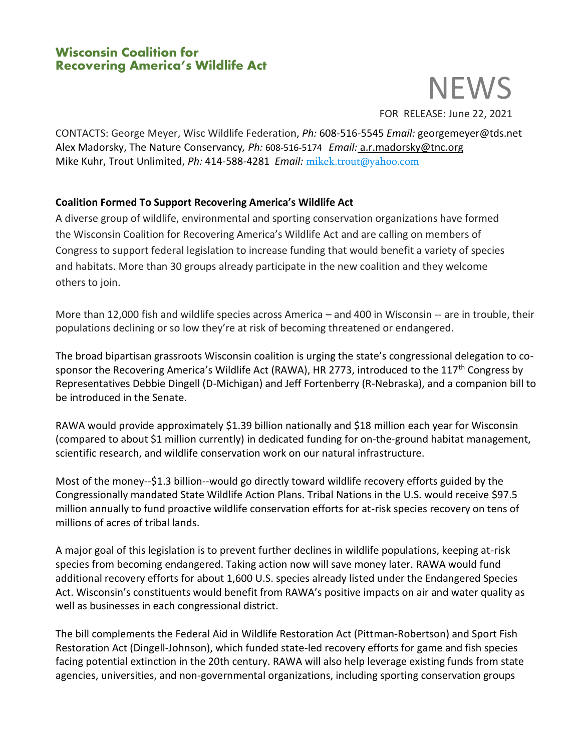## **Wisconsin Coalition for Recovering America's Wildlife Act**

# **NEWS**

FOR RELEASE: June 22, 2021

CONTACTS: George Meyer, Wisc Wildlife Federation, *Ph:* 608-516-5545 *Email:* georgemeyer@tds.net Alex Madorsky, The Nature Conservancy*, Ph:* 608-516-5174 *Email:* [a.r.madorsky@tnc.org](mailto:a.r.madorsky@tnc.org) Mike Kuhr, Trout Unlimited, *Ph:* 414-588-4281 *Email:* [mikek.trout@yahoo.com](mailto:mikek.trout@yahoo.com)

### **Coalition Formed To Support Recovering America's Wildlife Act**

A diverse group of wildlife, environmental and sporting conservation organizations have formed the Wisconsin Coalition for Recovering America's Wildlife Act and are calling on members of Congress to support federal legislation to increase funding that would benefit a variety of species and habitats. More than 30 groups already participate in the new coalition and they welcome others to join.

More than 12,000 fish and wildlife species across America – and 400 in Wisconsin -- are in trouble, their populations declining or so low they're at risk of becoming threatened or endangered.

The broad bipartisan grassroots Wisconsin coalition is urging the state's congressional delegation to cosponsor the Recovering America's Wildlife Act (RAWA), HR 2773, introduced to the 117<sup>th</sup> Congress by Representatives Debbie Dingell (D-Michigan) and Jeff Fortenberry (R-Nebraska), and a companion bill to be introduced in the Senate.

RAWA would provide approximately \$1.39 billion nationally and \$18 million each year for Wisconsin (compared to about \$1 million currently) in dedicated funding for on-the-ground habitat management, scientific research, and wildlife conservation work on our natural infrastructure.

Most of the money--\$1.3 billion--would go directly toward wildlife recovery efforts guided by the Congressionally mandated State Wildlife Action Plans. Tribal Nations in the U.S. would receive \$97.5 million annually to fund proactive wildlife conservation efforts for at-risk species recovery on tens of millions of acres of tribal lands.

A major goal of this legislation is to prevent further declines in wildlife populations, keeping at-risk species from becoming endangered. Taking action now will save money later. RAWA would fund additional recovery efforts for about 1,600 U.S. species already listed under the Endangered Species Act. Wisconsin's constituents would benefit from RAWA's positive impacts on air and water quality as well as businesses in each congressional district.

The bill complements the Federal Aid in Wildlife Restoration Act (Pittman-Robertson) and Sport Fish Restoration Act (Dingell-Johnson), which funded state-led recovery efforts for game and fish species facing potential extinction in the 20th century. RAWA will also help leverage existing funds from state agencies, universities, and non-governmental organizations, including sporting conservation groups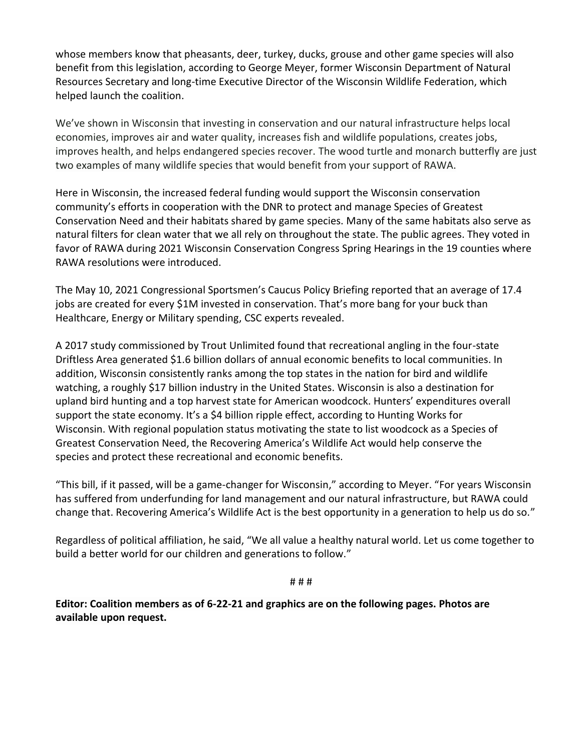whose members know that pheasants, deer, turkey, ducks, grouse and other game species will also benefit from this legislation, according to George Meyer, former Wisconsin Department of Natural Resources Secretary and long-time Executive Director of the Wisconsin Wildlife Federation, which helped launch the coalition.

We've shown in Wisconsin that investing in conservation and our natural infrastructure helps local economies, improves air and water quality, increases fish and wildlife populations, creates jobs, improves health, and helps endangered species recover. The wood turtle and monarch butterfly are just two examples of many wildlife species that would benefit from your support of RAWA.

Here in Wisconsin, the increased federal funding would support the Wisconsin conservation community's efforts in cooperation with the DNR to protect and manage Species of Greatest Conservation Need and their habitats shared by game species. Many of the same habitats also serve as natural filters for clean water that we all rely on throughout the state. The public agrees. They voted in favor of RAWA during 2021 Wisconsin Conservation Congress Spring Hearings in the 19 counties where RAWA resolutions were introduced.

The May 10, 2021 Congressional Sportsmen's Caucus Policy Briefing reported that an average of 17.4 jobs are created for every \$1M invested in conservation. That's more bang for your buck than Healthcare, Energy or Military spending, CSC experts revealed.

A 2017 study commissioned by Trout Unlimited found that recreational angling in the four-state Driftless Area generated \$1.6 billion dollars of annual economic benefits to local communities. In addition, Wisconsin consistently ranks among the top states in the nation for bird and wildlife watching, a roughly \$17 billion industry in the United States. Wisconsin is also a destination for upland bird hunting and a top harvest state for American woodcock. Hunters' expenditures overall support the state economy. It's a \$4 billion ripple effect, according to Hunting Works for Wisconsin. With regional population status motivating the state to list woodcock as a Species of Greatest Conservation Need, the Recovering America's Wildlife Act would help conserve the species and protect these recreational and economic benefits.

"This bill, if it passed, will be a game-changer for Wisconsin," according to Meyer. "For years Wisconsin has suffered from underfunding for land management and our natural infrastructure, but RAWA could change that. Recovering America's Wildlife Act is the best opportunity in a generation to help us do so."

Regardless of political affiliation, he said, "We all value a healthy natural world. Let us come together to build a better world for our children and generations to follow."

# # #

**Editor: Coalition members as of 6-22-21 and graphics are on the following pages. Photos are available upon request.**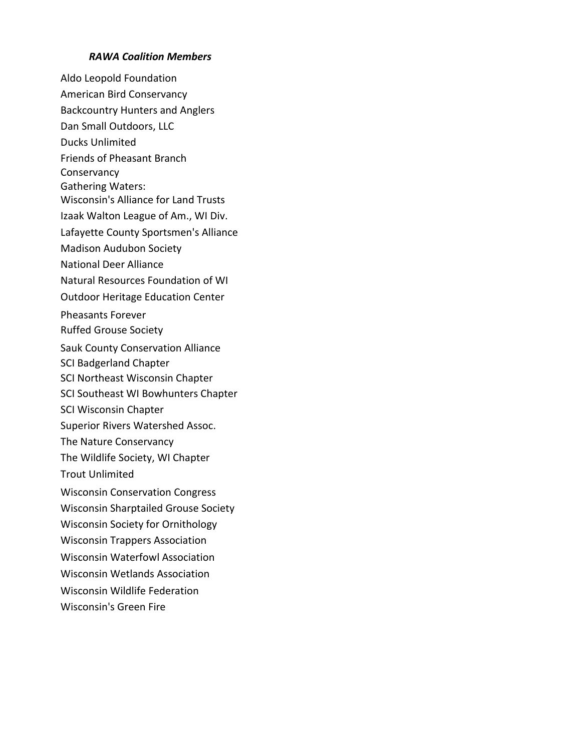#### *RAWA Coalition Members*

Aldo Leopold Foundation American Bird Conservancy Backcountry Hunters and Anglers Dan Small Outdoors, LLC Ducks Unlimited Friends of Pheasant Branch Conservancy Gathering Waters: Wisconsin's Alliance for Land Trusts Izaak Walton League of Am., WI Div. Lafayette County Sportsmen's Alliance Madison Audubon Society National Deer Alliance Natural Resources Foundation of WI Outdoor Heritage Education Center Pheasants Forever Ruffed Grouse Society Sauk County Conservation Alliance SCI Badgerland Chapter SCI Northeast Wisconsin Chapter SCI Southeast WI Bowhunters Chapter SCI Wisconsin Chapter Superior Rivers Watershed Assoc. The Nature Conservancy The Wildlife Society, WI Chapter Trout Unlimited Wisconsin Conservation Congress Wisconsin Sharptailed Grouse Society Wisconsin Society for Ornithology Wisconsin Trappers Association Wisconsin Waterfowl Association Wisconsin Wetlands Association Wisconsin Wildlife Federation Wisconsin's Green Fire